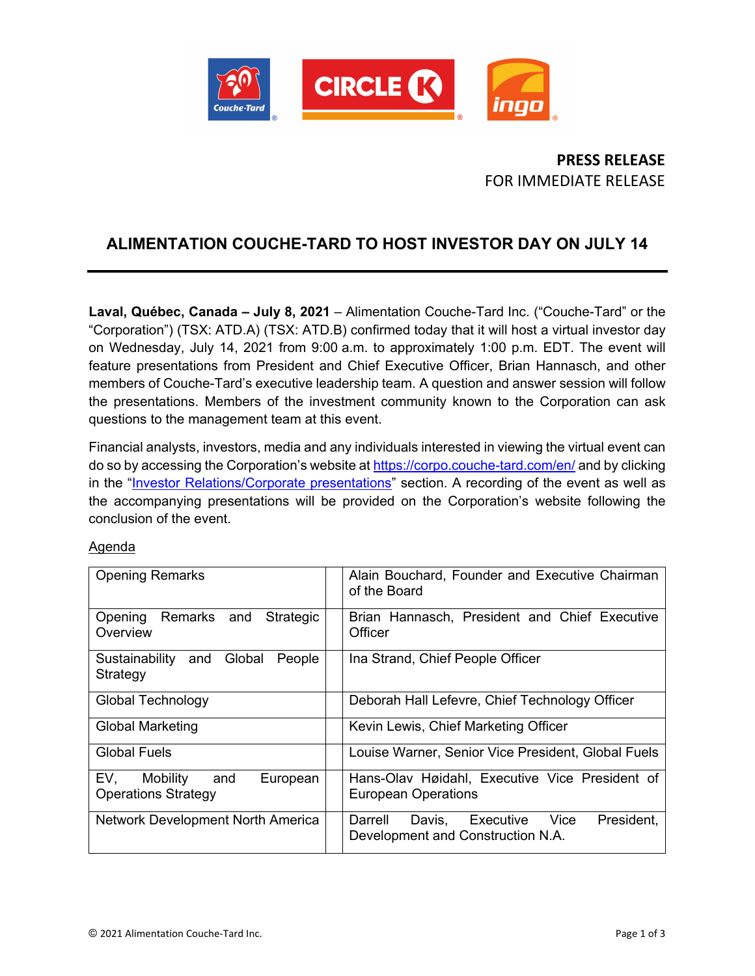

# **PRESS RELEASE** FOR IMMEDIATE RELEASE

# **ALIMENTATION COUCHE-TARD TO HOST INVESTOR DAY ON JULY 14**

**Laval, Québec, Canada – July 8, 2021** – Alimentation Couche-Tard Inc. ("Couche-Tard" or the "Corporation") (TSX: ATD.A) (TSX: ATD.B) confirmed today that it will host a virtual investor day on Wednesday, July 14, 2021 from 9:00 a.m. to approximately 1:00 p.m. EDT. The event will feature presentations from President and Chief Executive Officer, Brian Hannasch, and other members of Couche-Tard's executive leadership team. A question and answer session will follow the presentations. Members of the investment community known to the Corporation can ask questions to the management team at this event.

Financial analysts, investors, media and any individuals interested in viewing the virtual event can do so by accessing the Corporation's website at<https://corpo.couche-tard.com/en/> and by clicking in the ["Investor Relations/Corporate presentations"](https://corpo.couche-tard.com/en/investor-relations/corporate-presentations/) section. A recording of the event as well as the accompanying presentations will be provided on the Corporation's website following the conclusion of the event.

### Agenda

| <b>Opening Remarks</b>                                           | Alain Bouchard, Founder and Executive Chairman<br>of the Board                            |
|------------------------------------------------------------------|-------------------------------------------------------------------------------------------|
| Opening Remarks and<br>Strategic<br>Overview                     | Brian Hannasch, President and Chief Executive<br>Officer                                  |
| Global<br>Sustainability and<br>People<br>Strategy               | Ina Strand, Chief People Officer                                                          |
| <b>Global Technology</b>                                         | Deborah Hall Lefevre, Chief Technology Officer                                            |
| <b>Global Marketing</b>                                          | Kevin Lewis, Chief Marketing Officer                                                      |
| <b>Global Fuels</b>                                              | Louise Warner, Senior Vice President, Global Fuels                                        |
| EV.<br>Mobility<br>and<br>European<br><b>Operations Strategy</b> | Hans-Olav Høidahl, Executive Vice President of<br><b>European Operations</b>              |
| Network Development North America                                | Darrell<br>President,<br>Davis,<br>Executive<br>Vice<br>Development and Construction N.A. |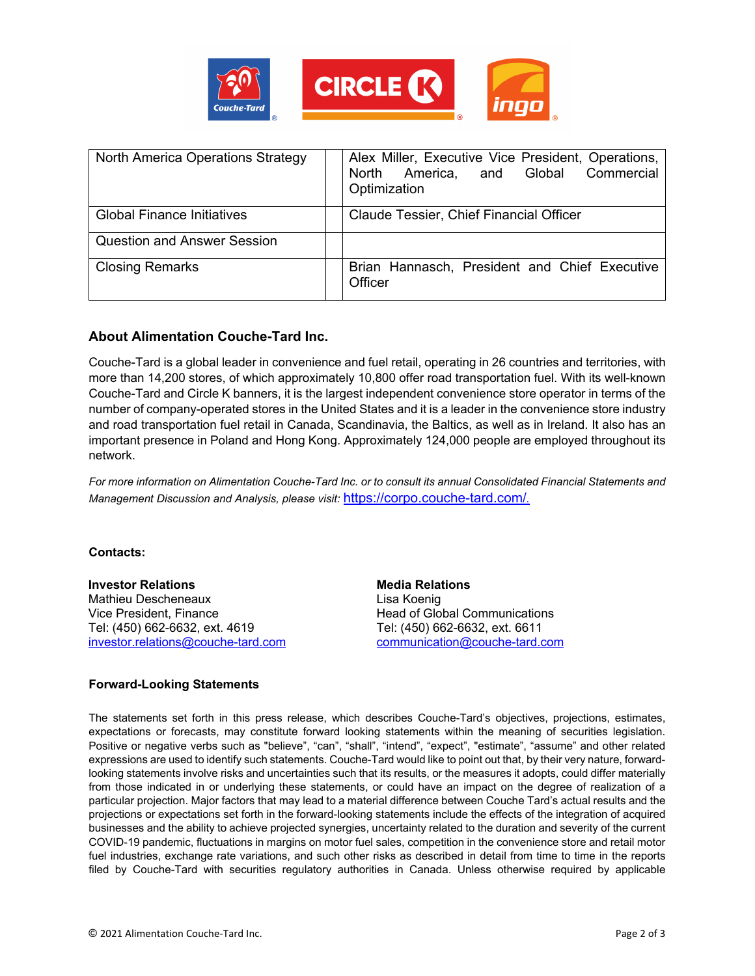

| <b>North America Operations Strategy</b> | Alex Miller, Executive Vice President, Operations,<br>Commercial<br>North America, and Global<br>Optimization |
|------------------------------------------|---------------------------------------------------------------------------------------------------------------|
| <b>Global Finance Initiatives</b>        | Claude Tessier, Chief Financial Officer                                                                       |
| <b>Question and Answer Session</b>       |                                                                                                               |
| <b>Closing Remarks</b>                   | Brian Hannasch, President and Chief Executive<br>Officer                                                      |

### **About Alimentation Couche-Tard Inc.**

Couche-Tard is a global leader in convenience and fuel retail, operating in 26 countries and territories, with more than 14,200 stores, of which approximately 10,800 offer road transportation fuel. With its well-known Couche-Tard and Circle K banners, it is the largest independent convenience store operator in terms of the number of company-operated stores in the United States and it is a leader in the convenience store industry and road transportation fuel retail in Canada, Scandinavia, the Baltics, as well as in Ireland. It also has an important presence in Poland and Hong Kong. Approximately 124,000 people are employed throughout its network.

*For more information on Alimentation Couche-Tard Inc. or to consult its annual Consolidated Financial Statements and Management Discussion and Analysis, please visit:* <https://corpo.couche-tard.com/>*.*

#### **Contacts:**

**Investor Relations** Mathieu Descheneaux Vice President, Finance Tel: (450) 662-6632, ext. 4619 [investor.relations@couche-tard.com](mailto:investor.relations@couche-tard.com)

**Media Relations** Lisa Koenig Head of Global Communications Tel: (450) 662-6632, ext. 6611 [communication@couche-tard.com](mailto:communication@couche-tard.com)

#### **Forward-Looking Statements**

The statements set forth in this press release, which describes Couche-Tard's objectives, projections, estimates, expectations or forecasts, may constitute forward looking statements within the meaning of securities legislation. Positive or negative verbs such as "believe", "can", "shall", "intend", "expect", "estimate", "assume" and other related expressions are used to identify such statements. Couche-Tard would like to point out that, by their very nature, forwardlooking statements involve risks and uncertainties such that its results, or the measures it adopts, could differ materially from those indicated in or underlying these statements, or could have an impact on the degree of realization of a particular projection. Major factors that may lead to a material difference between Couche Tard's actual results and the projections or expectations set forth in the forward-looking statements include the effects of the integration of acquired businesses and the ability to achieve projected synergies, uncertainty related to the duration and severity of the current COVID-19 pandemic, fluctuations in margins on motor fuel sales, competition in the convenience store and retail motor fuel industries, exchange rate variations, and such other risks as described in detail from time to time in the reports filed by Couche-Tard with securities regulatory authorities in Canada. Unless otherwise required by applicable